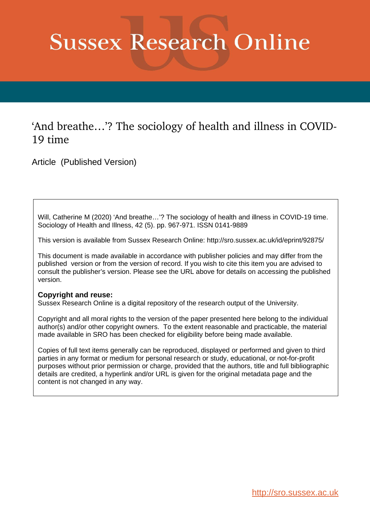# **Sussex Research Online**

# 'And breathe…'? The sociology of health and illness in COVID-19 time

Article (Published Version)

Will, Catherine M (2020) 'And breathe…'? The sociology of health and illness in COVID-19 time. Sociology of Health and Illness, 42 (5). pp. 967-971. ISSN 0141-9889

This version is available from Sussex Research Online: http://sro.sussex.ac.uk/id/eprint/92875/

This document is made available in accordance with publisher policies and may differ from the published version or from the version of record. If you wish to cite this item you are advised to consult the publisher's version. Please see the URL above for details on accessing the published version.

#### **Copyright and reuse:**

Sussex Research Online is a digital repository of the research output of the University.

Copyright and all moral rights to the version of the paper presented here belong to the individual author(s) and/or other copyright owners. To the extent reasonable and practicable, the material made available in SRO has been checked for eligibility before being made available.

Copies of full text items generally can be reproduced, displayed or performed and given to third parties in any format or medium for personal research or study, educational, or not-for-profit purposes without prior permission or charge, provided that the authors, title and full bibliographic details are credited, a hyperlink and/or URL is given for the original metadata page and the content is not changed in any way.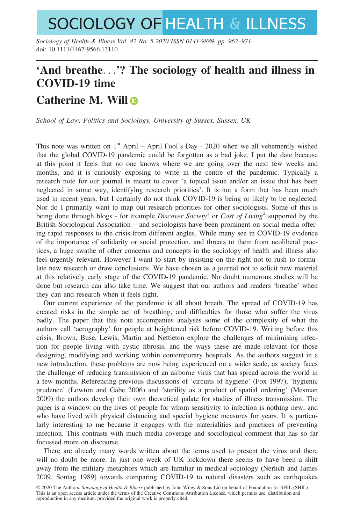# **SOCIOLOGY OF HEALTH & ILLNESS**

Sociology of Health & Illness Vol. 42 No. 5 2020 ISSN 0141-9889, pp. 967–971 doi: 10.1111/1467-9566.13110

## 'And breathe...'? The sociology of health and illness in COVID-19 time

### Catherine M. Will

School of Law, Politics and Sociology, University of Sussex, Sussex, UK

This note was written on  $1<sup>st</sup>$  April – April Fool's Day - 2020 when we all vehemently wished that the global COVID-19 pandemic could be forgotten as a bad joke. I put the date because at this point it feels that no one knows where we are going over the next few weeks and months, and it is curiously exposing to write in the centre of the pandemic. Typically a research note for our journal is meant to cover 'a topical issue and/or an issue that has been neglected in some way, identifying research priorities'. It is not a form that has been much used in recent years, but I certainly do not think COVID-19 is being or likely to be neglected. Nor do I primarily want to map out research priorities for other sociologists. Some of this is being done through blogs - for example *Discover Society*<sup>1</sup> or *Cost of Living*<sup>2</sup> supported by the British Sociological Association – and sociologists have been prominent on social media offering rapid responses to the crisis from different angles. While many see in COVID-19 evidence of the importance of solidarity or social protection, and threats to them from neoliberal practices, a huge swathe of other concerns and concepts in the sociology of health and illness also feel urgently relevant. However I want to start by insisting on the right not to rush to formulate new research or draw conclusions. We have chosen as a journal not to solicit new material at this relatively early stage of the COVID-19 pandemic. No doubt numerous studies will be done but research can also take time. We suggest that our authors and readers 'breathe' when they can and research when it feels right.

Our current experience of the pandemic is all about breath. The spread of COVID-19 has created risks in the simple act of breathing, and difficulties for those who suffer the virus badly. The paper that this note accompanies analyses some of the complexity of what the authors call 'aerography' for people at heightened risk before COVID-19. Writing before this crisis, Brown, Buse, Lewis, Martin and Nettleton explore the challenges of minimising infection for people living with cystic fibrosis, and the ways these are made relevant for those designing, modifying and working within contemporary hospitals. As the authors suggest in a new introduction, these problems are now being experienced on a wider scale, as society faces the challenge of reducing transmission of an airborne virus that has spread across the world in a few months. Referencing previous discussions of 'circuits of hygiene' (Fox 1997), 'hygienic prudence' (Lowton and Gabe 2006) and 'sterility as a product of spatial ordering' (Mesman 2009) the authors develop their own theoretical palate for studies of illness transmission. The paper is a window on the lives of people for whom sensitivity to infection is nothing new, and who have lived with physical distancing and special hygiene measures for years. It is particularly interesting to me because it engages with the materialities and practices of preventing infection. This contrasts with much media coverage and sociological comment that has so far focussed more on discourse.

There are already many words written about the terms used to present the virus and there will no doubt be more. In just one week of UK lockdown there seems to have been a shift away from the military metaphors which are familiar in medical sociology (Nerlich and James 2009, Sontag 1989) towards comparing COVID-19 to natural disasters such as earthquakes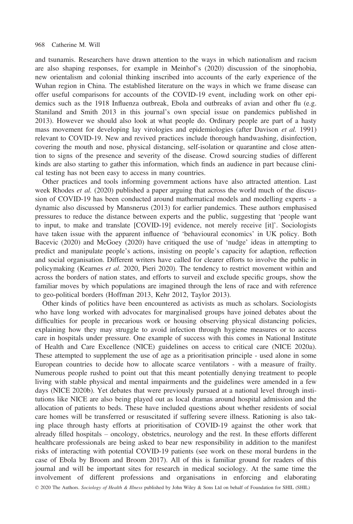#### 968 Catherine M. Will

and tsunamis. Researchers have drawn attention to the ways in which nationalism and racism are also shaping responses, for example in Meinhof's (2020) discussion of the sinophobia, new orientalism and colonial thinking inscribed into accounts of the early experience of the Wuhan region in China. The established literature on the ways in which we frame disease can offer useful comparisons for accounts of the COVID-19 event, including work on other epidemics such as the 1918 Influenza outbreak, Ebola and outbreaks of avian and other flu (e.g. Staniland and Smith 2013 in this journal's own special issue on pandemics published in 2013). However we should also look at what people do. Ordinary people are part of a hasty mass movement for developing lay virologies and epidemiologies (after Davison et al. 1991) relevant to COVID-19. New and revived practices include thorough handwashing, disinfection, covering the mouth and nose, physical distancing, self-isolation or quarantine and close attention to signs of the presence and severity of the disease. Crowd sourcing studies of different kinds are also starting to gather this information, which finds an audience in part because clinical testing has not been easy to access in many countries.

Other practices and tools informing government actions have also attracted attention. Last week Rhodes *et al.* (2020) published a paper arguing that across the world much of the discussion of COVID-19 has been conducted around mathematical models and modelling experts - a dynamic also discussed by Mansnerus (2013) for earlier pandemics. These authors emphasised pressures to reduce the distance between experts and the public, suggesting that 'people want to input, to make and translate [COVID-19] evidence, not merely receive [it]'. Sociologists have taken issue with the apparent influence of 'behavioural economics' in UK policy. Both Bacevic (2020) and McGoey (2020) have critiqued the use of 'nudge' ideas in attempting to predict and manipulate people's actions, insisting on people's capacity for adaption, reflection and social organisation. Different writers have called for clearer efforts to involve the public in policymaking (Kearnes et al. 2020, Pieri 2020). The tendency to restrict movement within and across the borders of nation states, and efforts to surveil and exclude specific groups, show the familiar moves by which populations are imagined through the lens of race and with reference to geo-political borders (Hoffman 2013, Kehr 2012, Taylor 2013).

Other kinds of politics have been encountered as activists as much as scholars. Sociologists who have long worked with advocates for marginalised groups have joined debates about the difficulties for people in precarious work or housing observing physical distancing policies, explaining how they may struggle to avoid infection through hygiene measures or to access care in hospitals under pressure. One example of success with this comes in National Institute of Health and Care Excellence (NICE) guidelines on access to critical care (NICE 2020a). These attempted to supplement the use of age as a prioritisation principle - used alone in some European countries to decide how to allocate scarce ventilators - with a measure of frailty. Numerous people rushed to point out that this meant potentially denying treatment to people living with stable physical and mental impairments and the guidelines were amended in a few days (NICE 2020b). Yet debates that were previously pursued at a national level through institutions like NICE are also being played out as local dramas around hospital admission and the allocation of patients to beds. These have included questions about whether residents of social care homes will be transferred or resuscitated if suffering severe illness. Rationing is also taking place through hasty efforts at prioritisation of COVID-19 against the other work that already filled hospitals – oncology, obstetrics, neurology and the rest. In these efforts different healthcare professionals are being asked to bear new responsibility in addition to the manifest risks of interacting with potential COVID-19 patients (see work on these moral burdens in the case of Ebola by Broom and Broom 2017). All of this is familiar ground for readers of this journal and will be important sites for research in medical sociology. At the same time the involvement of different professions and organisations in enforcing and elaborating

© 2020 The Authors. Sociology of Health & Illness published by John Wiley & Sons Ltd on behalf of Foundation for SHIL (SHIL)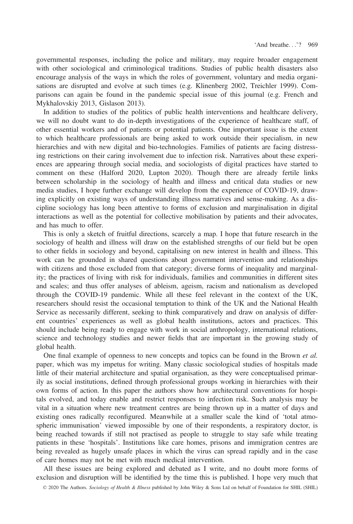governmental responses, including the police and military, may require broader engagement with other sociological and criminological traditions. Studies of public health disasters also encourage analysis of the ways in which the roles of government, voluntary and media organisations are disrupted and evolve at such times (e.g. Klinenberg 2002, Treichler 1999). Comparisons can again be found in the pandemic special issue of this journal (e.g. French and Mykhalovskiy 2013, Gislason 2013).

In addition to studies of the politics of public health interventions and healthcare delivery, we will no doubt want to do in-depth investigations of the experience of healthcare staff, of other essential workers and of patients or potential patients. One important issue is the extent to which healthcare professionals are being asked to work outside their specialism, in new hierarchies and with new digital and bio-technologies. Families of patients are facing distressing restrictions on their caring involvement due to infection risk. Narratives about these experiences are appearing through social media, and sociologists of digital practices have started to comment on these (Halford 2020, Lupton 2020). Though there are already fertile links between scholarship in the sociology of health and illness and critical data studies or new media studies, I hope further exchange will develop from the experience of COVID-19, drawing explicitly on existing ways of understanding illness narratives and sense-making. As a discipline sociology has long been attentive to forms of exclusion and marginalisation in digital interactions as well as the potential for collective mobilisation by patients and their advocates, and has much to offer.

This is only a sketch of fruitful directions, scarcely a map. I hope that future research in the sociology of health and illness will draw on the established strengths of our field but be open to other fields in sociology and beyond, capitalising on new interest in health and illness. This work can be grounded in shared questions about government intervention and relationships with citizens and those excluded from that category; diverse forms of inequality and marginality; the practices of living with risk for individuals, families and communities in different sites and scales; and thus offer analyses of ableism, ageism, racism and nationalism as developed through the COVID-19 pandemic. While all these feel relevant in the context of the UK, researchers should resist the occasional temptation to think of the UK and the National Health Service as necessarily different, seeking to think comparatively and draw on analysis of different countries' experiences as well as global health institutions, actors and practices. This should include being ready to engage with work in social anthropology, international relations, science and technology studies and newer fields that are important in the growing study of global health.

One final example of openness to new concepts and topics can be found in the Brown et al. paper, which was my impetus for writing. Many classic sociological studies of hospitals made little of their material architecture and spatial organisation, as they were conceptualised primarily as social institutions, defined through professional groups working in hierarchies with their own forms of action. In this paper the authors show how architectural conventions for hospitals evolved, and today enable and restrict responses to infection risk. Such analysis may be vital in a situation where new treatment centres are being thrown up in a matter of days and existing ones radically reconfigured. Meanwhile at a smaller scale the kind of 'total atmospheric immunisation' viewed impossible by one of their respondents, a respiratory doctor, is being reached towards if still not practised as people to struggle to stay safe while treating patients in these 'hospitals'. Institutions like care homes, prisons and immigration centres are being revealed as hugely unsafe places in which the virus can spread rapidly and in the case of care homes may not be met with much medical intervention.

All these issues are being explored and debated as I write, and no doubt more forms of exclusion and disruption will be identified by the time this is published. I hope very much that

© 2020 The Authors. Sociology of Health & Illness published by John Wiley & Sons Ltd on behalf of Foundation for SHIL (SHIL)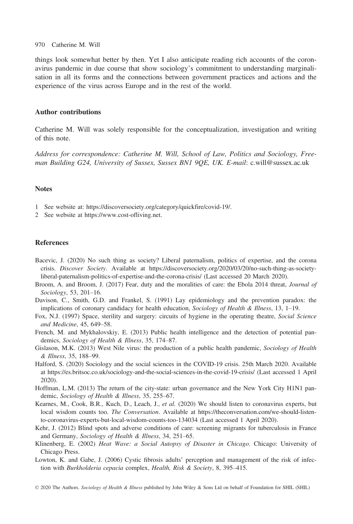#### 970 Catherine M. Will

things look somewhat better by then. Yet I also anticipate reading rich accounts of the coronavirus pandemic in due course that show sociology's commitment to understanding marginalisation in all its forms and the connections between government practices and actions and the experience of the virus across Europe and in the rest of the world.

#### Author contributions

Catherine M. Will was solely responsible for the conceptualization, investigation and writing of this note.

Address for correspondence: Catherine M. Will, School of Law, Politics and Sociology, Freeman Building G24, University of Sussex, Sussex BN1 9QE, UK. E-mail: [c.will@sussex.ac.uk](mailto:)

#### Notes

- 1 See website at:<https://discoversociety.org/category/quickfire/covid-19/>.
- 2 See website at [https://www.cost-ofliving.net.](https://www.cost-ofliving.net)

#### References

- Bacevic, J. (2020) No such thing as society? Liberal paternalism, politics of expertise, and the corona crisis. Discover Society. Available at [https://discoversociety.org/2020/03/20/no-such-thing-as-society](https://discoversociety.org/2020/03/20/no-such-thing-as-society-liberal-paternalism-politics-of-expertise-and-the-corona-crisis/)[liberal-paternalism-politics-of-expertise-and-the-corona-crisis/](https://discoversociety.org/2020/03/20/no-such-thing-as-society-liberal-paternalism-politics-of-expertise-and-the-corona-crisis/) (Last accessed 20 March 2020).
- Broom, A. and Broom, J. (2017) Fear, duty and the moralities of care: the Ebola 2014 threat, Journal of Sociology, 53, 201–16.
- Davison, C., Smith, G.D. and Frankel, S. (1991) Lay epidemiology and the prevention paradox: the implications of coronary candidacy for health education, Sociology of Health & Illness, 13, 1–19.
- Fox, N.J. (1997) Space, sterility and surgery: circuits of hygiene in the operating theatre, Social Science and Medicine, 45, 649–58.
- French, M. and Mykhalovskiy, E. (2013) Public health intelligence and the detection of potential pandemics, Sociology of Health & Illness, 35, 174–87.
- Gislason, M.K. (2013) West Nile virus: the production of a public health pandemic, Sociology of Health & Illness, 35, 188–99.
- Halford, S. (2020) Sociology and the social sciences in the COVID-19 crisis. 25th March 2020. Available at<https://es.britsoc.co.uk/sociology-and-the-social-sciences-in-the-covid-19-crisis/> (Last accessed 1 April 2020).
- Hoffman, L.M. (2013) The return of the city-state: urban governance and the New York City H1N1 pandemic, Sociology of Health & Illness, 35, 255–67.
- Kearnes, M., Cook, B.R., Kuch, D., Leach, J., et al. (2020) We should listen to coronavirus experts, but local wisdom counts too. The Conversation. Available at [https://theconversation.com/we-should-listen](https://theconversation.com/we-should-listen-to-coronavirus-experts-but-local-wisdom-counts-too-134034)[to-coronavirus-experts-but-local-wisdom-counts-too-134034](https://theconversation.com/we-should-listen-to-coronavirus-experts-but-local-wisdom-counts-too-134034) (Last accessed 1 April 2020).
- Kehr, J. (2012) Blind spots and adverse conditions of care: screening migrants for tuberculosis in France and Germany, Sociology of Health & Illness, 34, 251–65.
- Klinenberg, E. (2002) Heat Wave: a Social Autopsy of Disaster in Chicago. Chicago: University of Chicago Press.
- Lowton, K. and Gabe, J. (2006) Cystic fibrosis adults' perception and management of the risk of infection with Burkholderia cepacia complex, Health, Risk & Society, 8, 395–415.
- © 2020 The Authors. Sociology of Health & Illness published by John Wiley & Sons Ltd on behalf of Foundation for SHIL (SHIL)